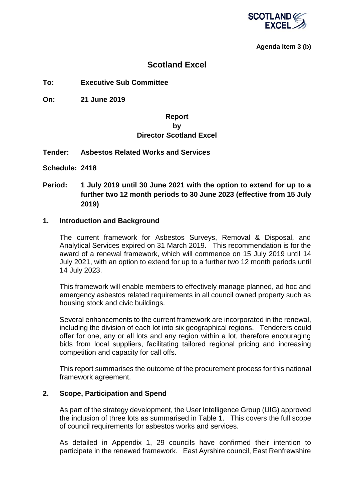

#### **Agenda Item 3 (b)**

## **Scotland Excel**

#### **To: Executive Sub Committee**

**On: 21 June 2019**

## **Report by Director Scotland Excel**

#### **Tender: Asbestos Related Works and Services**

- **Schedule: 2418**
- **Period: 1 July 2019 until 30 June 2021 with the option to extend for up to a further two 12 month periods to 30 June 2023 (effective from 15 July 2019)**

#### **1. Introduction and Background**

The current framework for Asbestos Surveys, Removal & Disposal, and Analytical Services expired on 31 March 2019. This recommendation is for the award of a renewal framework, which will commence on 15 July 2019 until 14 July 2021, with an option to extend for up to a further two 12 month periods until 14 July 2023.

This framework will enable members to effectively manage planned, ad hoc and emergency asbestos related requirements in all council owned property such as housing stock and civic buildings.

Several enhancements to the current framework are incorporated in the renewal, including the division of each lot into six geographical regions. Tenderers could offer for one, any or all lots and any region within a lot, therefore encouraging bids from local suppliers, facilitating tailored regional pricing and increasing competition and capacity for call offs.

This report summarises the outcome of the procurement process for this national framework agreement.

#### **2. Scope, Participation and Spend**

As part of the strategy development, the User Intelligence Group (UIG) approved the inclusion of three lots as summarised in Table 1. This covers the full scope of council requirements for asbestos works and services.

As detailed in Appendix 1, 29 councils have confirmed their intention to participate in the renewed framework. East Ayrshire council, East Renfrewshire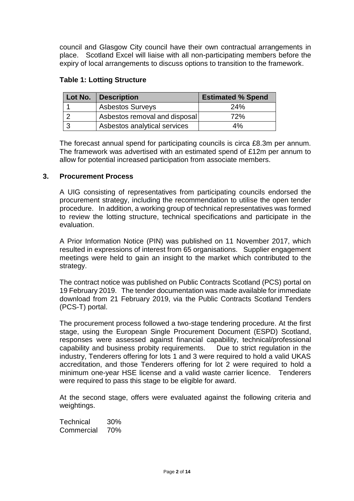council and Glasgow City council have their own contractual arrangements in place. Scotland Excel will liaise with all non-participating members before the expiry of local arrangements to discuss options to transition to the framework.

### **Table 1: Lotting Structure**

| Lot No. | <b>Description</b>            | <b>Estimated % Spend</b> |
|---------|-------------------------------|--------------------------|
|         | <b>Asbestos Surveys</b>       | <b>24%</b>               |
|         | Asbestos removal and disposal | 72%                      |
|         | Asbestos analytical services  | 4%                       |

The forecast annual spend for participating councils is circa £8.3m per annum. The framework was advertised with an estimated spend of £12m per annum to allow for potential increased participation from associate members.

#### **3. Procurement Process**

A UIG consisting of representatives from participating councils endorsed the procurement strategy, including the recommendation to utilise the open tender procedure. In addition, a working group of technical representatives was formed to review the lotting structure, technical specifications and participate in the evaluation.

A Prior Information Notice (PIN) was published on 11 November 2017, which resulted in expressions of interest from 65 organisations. Supplier engagement meetings were held to gain an insight to the market which contributed to the strategy.

The contract notice was published on Public Contracts Scotland (PCS) portal on 19 February 2019. The tender documentation was made available for immediate download from 21 February 2019, via the Public Contracts Scotland Tenders (PCS-T) portal.

The procurement process followed a two-stage tendering procedure. At the first stage, using the European Single Procurement Document (ESPD) Scotland, responses were assessed against financial capability, technical/professional capability and business probity requirements. Due to strict regulation in the industry, Tenderers offering for lots 1 and 3 were required to hold a valid UKAS accreditation, and those Tenderers offering for lot 2 were required to hold a minimum one-year HSE license and a valid waste carrier licence. Tenderers were required to pass this stage to be eligible for award.

At the second stage, offers were evaluated against the following criteria and weightings.

Technical 30% Commercial 70%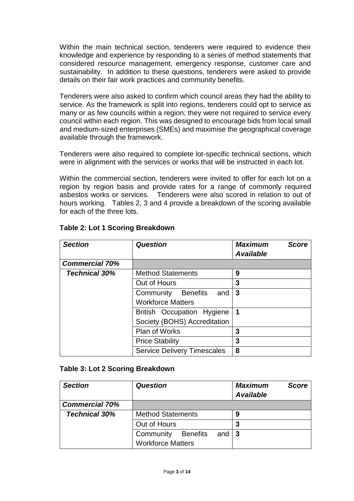Within the main technical section, tenderers were required to evidence their knowledge and experience by responding to a series of method statements that considered resource management, emergency response, customer care and sustainability. In addition to these questions, tenderers were asked to provide details on their fair work practices and community benefits.

Tenderers were also asked to confirm which council areas they had the ability to service. As the framework is split into regions, tenderers could opt to service as many or as few councils within a region; they were not required to service every council within each region. This was designed to encourage bids from local small and medium-sized enterprises (SMEs) and maximise the geographical coverage available through the framework.

Tenderers were also required to complete lot-specific technical sections, which were in alignment with the services or works that will be instructed in each lot.

Within the commercial section, tenderers were invited to offer for each lot on a region by region basis and provide rates for a range of commonly required asbestos works or services. Tenderers were also scored in relation to out of hours working. Tables 2, 3 and 4 provide a breakdown of the scoring available for each of the three lots.

| <b>Section</b>        | <b>Question</b>                    | <b>Maximum</b><br><b>Score</b><br><b>Available</b> |
|-----------------------|------------------------------------|----------------------------------------------------|
| <b>Commercial 70%</b> |                                    |                                                    |
| <b>Technical 30%</b>  | <b>Method Statements</b>           | 9                                                  |
|                       | Out of Hours                       | 3                                                  |
|                       | Community Benefits<br>and          | 3                                                  |
|                       | <b>Workforce Matters</b>           |                                                    |
|                       | British Occupation Hygiene         | $\mathbf 1$                                        |
|                       | Society (BOHS) Accreditation       |                                                    |
|                       | <b>Plan of Works</b>               | 3                                                  |
|                       | <b>Price Stability</b>             | 3                                                  |
|                       | <b>Service Delivery Timescales</b> | 8                                                  |

### **Table 2: Lot 1 Scoring Breakdown**

#### **Table 3: Lot 2 Scoring Breakdown**

| <b>Section</b>        | <b>Question</b>                               | <b>Maximum</b><br><b>Score</b><br><b>Available</b> |
|-----------------------|-----------------------------------------------|----------------------------------------------------|
| <b>Commercial 70%</b> |                                               |                                                    |
| <b>Technical 30%</b>  | <b>Method Statements</b>                      | 9                                                  |
|                       | Out of Hours                                  | 3                                                  |
|                       | Community<br>and $\vert$ 3<br><b>Benefits</b> |                                                    |
|                       | <b>Workforce Matters</b>                      |                                                    |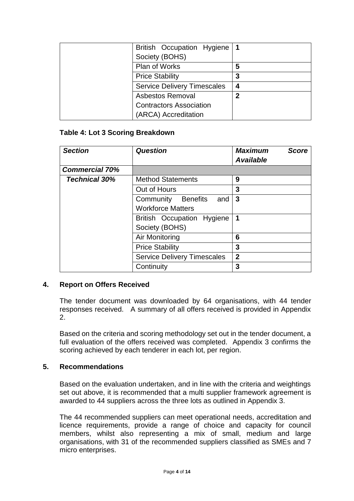| British Occupation Hygiene   1     |   |
|------------------------------------|---|
| Society (BOHS)                     |   |
| Plan of Works                      | 5 |
| <b>Price Stability</b>             | 3 |
| <b>Service Delivery Timescales</b> | 4 |
| <b>Asbestos Removal</b>            | 2 |
| <b>Contractors Association</b>     |   |
| (ARCA) Accreditation               |   |

### **Table 4: Lot 3 Scoring Breakdown**

| <b>Section</b>        | Question                           | <b>Maximum</b><br><b>Score</b><br><b>Available</b> |
|-----------------------|------------------------------------|----------------------------------------------------|
| <b>Commercial 70%</b> |                                    |                                                    |
| <b>Technical 30%</b>  | <b>Method Statements</b>           | 9                                                  |
|                       | Out of Hours                       | 3                                                  |
|                       | Community Benefits<br>and          | 3                                                  |
|                       | <b>Workforce Matters</b>           |                                                    |
|                       | British Occupation Hygiene         | $\mathbf 1$                                        |
|                       | Society (BOHS)                     |                                                    |
|                       | Air Monitoring                     | 6                                                  |
|                       | <b>Price Stability</b>             | 3                                                  |
|                       | <b>Service Delivery Timescales</b> | $\overline{2}$                                     |
|                       | Continuity                         | 3                                                  |

#### **4. Report on Offers Received**

The tender document was downloaded by 64 organisations, with 44 tender responses received. A summary of all offers received is provided in Appendix 2.

Based on the criteria and scoring methodology set out in the tender document, a full evaluation of the offers received was completed. Appendix 3 confirms the scoring achieved by each tenderer in each lot, per region.

#### **5. Recommendations**

Based on the evaluation undertaken, and in line with the criteria and weightings set out above, it is recommended that a multi supplier framework agreement is awarded to 44 suppliers across the three lots as outlined in Appendix 3.

The 44 recommended suppliers can meet operational needs, accreditation and licence requirements, provide a range of choice and capacity for council members, whilst also representing a mix of small, medium and large organisations, with 31 of the recommended suppliers classified as SMEs and 7 micro enterprises.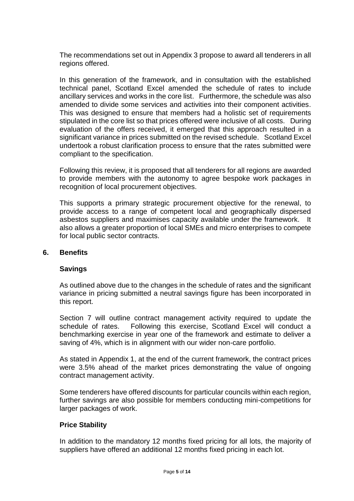The recommendations set out in Appendix 3 propose to award all tenderers in all regions offered.

In this generation of the framework, and in consultation with the established technical panel, Scotland Excel amended the schedule of rates to include ancillary services and works in the core list. Furthermore, the schedule was also amended to divide some services and activities into their component activities. This was designed to ensure that members had a holistic set of requirements stipulated in the core list so that prices offered were inclusive of all costs. During evaluation of the offers received, it emerged that this approach resulted in a significant variance in prices submitted on the revised schedule. Scotland Excel undertook a robust clarification process to ensure that the rates submitted were compliant to the specification.

Following this review, it is proposed that all tenderers for all regions are awarded to provide members with the autonomy to agree bespoke work packages in recognition of local procurement objectives.

This supports a primary strategic procurement objective for the renewal, to provide access to a range of competent local and geographically dispersed asbestos suppliers and maximises capacity available under the framework. It also allows a greater proportion of local SMEs and micro enterprises to compete for local public sector contracts.

#### **6. Benefits**

#### **Savings**

As outlined above due to the changes in the schedule of rates and the significant variance in pricing submitted a neutral savings figure has been incorporated in this report.

Section 7 will outline contract management activity required to update the schedule of rates. Following this exercise, Scotland Excel will conduct a benchmarking exercise in year one of the framework and estimate to deliver a saving of 4%, which is in alignment with our wider non-care portfolio.

As stated in Appendix 1, at the end of the current framework, the contract prices were 3.5% ahead of the market prices demonstrating the value of ongoing contract management activity.

Some tenderers have offered discounts for particular councils within each region, further savings are also possible for members conducting mini-competitions for larger packages of work.

#### **Price Stability**

In addition to the mandatory 12 months fixed pricing for all lots, the majority of suppliers have offered an additional 12 months fixed pricing in each lot.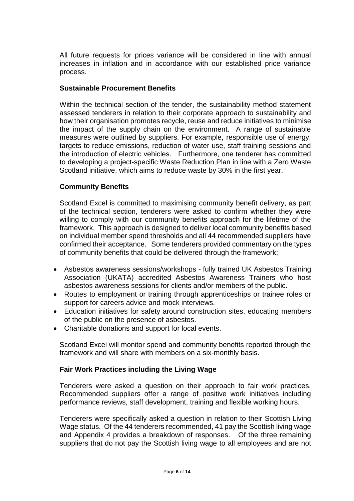All future requests for prices variance will be considered in line with annual increases in inflation and in accordance with our established price variance process.

### **Sustainable Procurement Benefits**

Within the technical section of the tender, the sustainability method statement assessed tenderers in relation to their corporate approach to sustainability and how their organisation promotes recycle, reuse and reduce initiatives to minimise the impact of the supply chain on the environment. A range of sustainable measures were outlined by suppliers. For example, responsible use of energy, targets to reduce emissions, reduction of water use, staff training sessions and the introduction of electric vehicles. Furthermore, one tenderer has committed to developing a project-specific Waste Reduction Plan in line with a Zero Waste Scotland initiative, which aims to reduce waste by 30% in the first year.

### **Community Benefits**

Scotland Excel is committed to maximising community benefit delivery, as part of the technical section, tenderers were asked to confirm whether they were willing to comply with our community benefits approach for the lifetime of the framework. This approach is designed to deliver local community benefits based on individual member spend thresholds and all 44 recommended suppliers have confirmed their acceptance. Some tenderers provided commentary on the types of community benefits that could be delivered through the framework;

- Asbestos awareness sessions/workshops fully trained UK Asbestos Training Association (UKATA) accredited Asbestos Awareness Trainers who host asbestos awareness sessions for clients and/or members of the public.
- Routes to employment or training through apprenticeships or trainee roles or support for careers advice and mock interviews.
- Education initiatives for safety around construction sites, educating members of the public on the presence of asbestos.
- Charitable donations and support for local events.

Scotland Excel will monitor spend and community benefits reported through the framework and will share with members on a six-monthly basis.

#### **Fair Work Practices including the Living Wage**

Tenderers were asked a question on their approach to fair work practices. Recommended suppliers offer a range of positive work initiatives including performance reviews, staff development, training and flexible working hours.

Tenderers were specifically asked a question in relation to their Scottish Living Wage status. Of the 44 tenderers recommended, 41 pay the Scottish living wage and Appendix 4 provides a breakdown of responses. Of the three remaining suppliers that do not pay the Scottish living wage to all employees and are not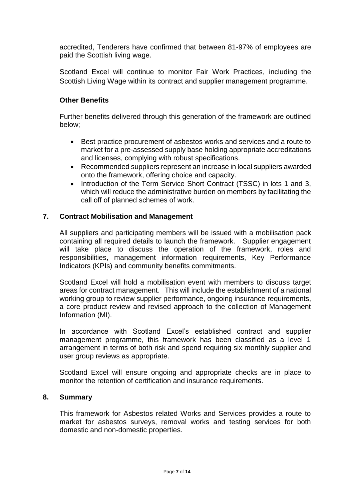accredited, Tenderers have confirmed that between 81-97% of employees are paid the Scottish living wage.

Scotland Excel will continue to monitor Fair Work Practices, including the Scottish Living Wage within its contract and supplier management programme.

### **Other Benefits**

Further benefits delivered through this generation of the framework are outlined below;

- Best practice procurement of asbestos works and services and a route to market for a pre-assessed supply base holding appropriate accreditations and licenses, complying with robust specifications.
- Recommended suppliers represent an increase in local suppliers awarded onto the framework, offering choice and capacity.
- Introduction of the Term Service Short Contract (TSSC) in lots 1 and 3, which will reduce the administrative burden on members by facilitating the call off of planned schemes of work.

### **7. Contract Mobilisation and Management**

All suppliers and participating members will be issued with a mobilisation pack containing all required details to launch the framework. Supplier engagement will take place to discuss the operation of the framework, roles and responsibilities, management information requirements, Key Performance Indicators (KPIs) and community benefits commitments.

Scotland Excel will hold a mobilisation event with members to discuss target areas for contract management. This will include the establishment of a national working group to review supplier performance, ongoing insurance requirements, a core product review and revised approach to the collection of Management Information (MI).

In accordance with Scotland Excel's established contract and supplier management programme, this framework has been classified as a level 1 arrangement in terms of both risk and spend requiring six monthly supplier and user group reviews as appropriate.

Scotland Excel will ensure ongoing and appropriate checks are in place to monitor the retention of certification and insurance requirements.

#### **8. Summary**

This framework for Asbestos related Works and Services provides a route to market for asbestos surveys, removal works and testing services for both domestic and non-domestic properties.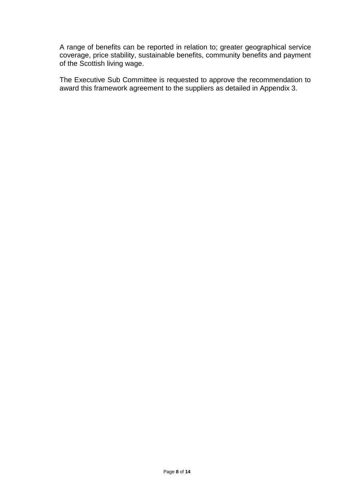A range of benefits can be reported in relation to; greater geographical service coverage, price stability, sustainable benefits, community benefits and payment of the Scottish living wage.

The Executive Sub Committee is requested to approve the recommendation to award this framework agreement to the suppliers as detailed in Appendix 3.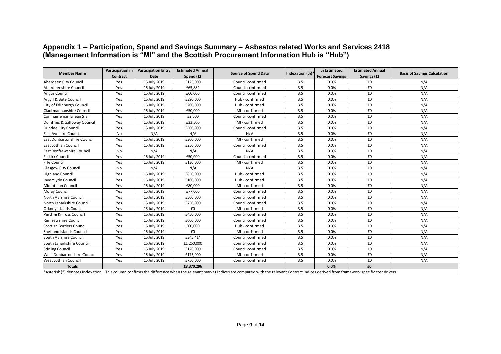## **Appendix 1 – Participation, Spend and Savings Summary – Asbestos related Works and Services 2418 (Management Information is "MI" and the Scottish Procurement Information Hub is "Hub")**

| <b>Member Name</b>          | Participation in | <b>Participation Entry</b> | <b>Estimated Annual</b> | <b>Source of Spend Data</b>                                                                                                                                                                           | Indexation (%)* | % Estimated                     | <b>Estimated Annual</b> | <b>Basis of Savings Calculation</b> |
|-----------------------------|------------------|----------------------------|-------------------------|-------------------------------------------------------------------------------------------------------------------------------------------------------------------------------------------------------|-----------------|---------------------------------|-------------------------|-------------------------------------|
| Aberdeen City Council       | Contract<br>Yes  | Date<br>15 July 2019       | Spend (£)<br>£125.000   | Council confirmed                                                                                                                                                                                     | 3.5             | <b>Forecast Savings</b><br>0.0% | Savings (£)<br>£0       | N/A                                 |
| Aberdeenshire Council       | Yes              | 15 July 2019               | £65,882                 | Council confirmed                                                                                                                                                                                     | 3.5             | 0.0%                            | £0                      | N/A                                 |
| <b>Angus Council</b>        | Yes              | 15 July 2019               | £60,000                 | Council confirmed                                                                                                                                                                                     | 3.5             | 0.0%                            | £0                      | N/A                                 |
|                             |                  |                            |                         |                                                                                                                                                                                                       |                 | 0.0%                            | £0                      | N/A                                 |
| Argyll & Bute Council       | Yes              | 15 July 2019               | £390,000                | Hub - confirmed                                                                                                                                                                                       | 3.5             |                                 |                         |                                     |
| City of Edinburgh Council   | Yes              | 15 July 2019               | £200,000                | Hub - confirmed                                                                                                                                                                                       | 3.5             | 0.0%                            | £0                      | N/A                                 |
| Clackmannanshire Council    | Yes              | 15 July 2019               | £50,000                 | MI - confirmed                                                                                                                                                                                        | 3.5             | 0.0%                            | £0                      | N/A                                 |
| Comhairle nan Eilean Siar   | Yes              | 15 July 2019               | £2,500                  | Council confirmed                                                                                                                                                                                     | 3.5             | 0.0%                            | £0                      | N/A                                 |
| Dumfries & Galloway Council | Yes              | 15 July 2019               | £33,500                 | MI - confirmed                                                                                                                                                                                        | 3.5             | 0.0%                            | £0                      | N/A                                 |
| Dundee City Council         | Yes              | 15 July 2019               | £600,000                | Council confirmed                                                                                                                                                                                     | 3.5             | 0.0%                            | £0                      | N/A                                 |
| East Ayrshire Council       | No               | N/A                        | N/A                     | N/A                                                                                                                                                                                                   | 3.5             | 0.0%                            | £0                      | N/A                                 |
| East Dunbartonshire Council | Yes              | 15 July 2019               | £300,000                | MI - confirmed                                                                                                                                                                                        | 3.5             | 0.0%                            | £0                      | N/A                                 |
| East Lothian Council        | Yes              | 15 July 2019               | £250,000                | Council confirmed                                                                                                                                                                                     | 3.5             | 0.0%                            | £0                      | N/A                                 |
| East Renfrewshire Council   | No               | N/A                        | N/A                     | N/A                                                                                                                                                                                                   | 3.5             | 0.0%                            | £0                      | N/A                                 |
| <b>Falkirk Council</b>      | Yes              | 15 July 2019               | £50,000                 | Council confirmed                                                                                                                                                                                     | 3.5             | 0.0%                            | £0                      | N/A                                 |
| <b>Fife Council</b>         | Yes              | 15 July 2019               | £130,000                | MI - confirmed                                                                                                                                                                                        | 3.5             | 0.0%                            | £0                      | N/A                                 |
| <b>Glasgow City Council</b> | No               | N/A                        | N/A                     | N/A                                                                                                                                                                                                   | 3.5             | 0.0%                            | £0                      | N/A                                 |
| <b>Highland Council</b>     | Yes              | 15 July 2019               | £850,000                | Hub - confirmed                                                                                                                                                                                       | 3.5             | 0.0%                            | £0                      | N/A                                 |
| Inverclyde Council          | Yes              | 15 July 2019               | £100,000                | Hub - confirmed                                                                                                                                                                                       | 3.5             | 0.0%                            | £0                      | N/A                                 |
| Midlothian Council          | Yes              | 15 July 2019               | £80,000                 | MI - confirmed                                                                                                                                                                                        | 3.5             | 0.0%                            | £0                      | N/A                                 |
| Moray Council               | Yes              | 15 July 2019               | £77,000                 | Council confirmed                                                                                                                                                                                     | 3.5             | 0.0%                            | £0                      | N/A                                 |
| North Ayrshire Council      | Yes              | 15 July 2019               | £500,000                | Council confirmed                                                                                                                                                                                     | 3.5             | 0.0%                            | £0                      | N/A                                 |
| North Lanarkshire Council   | Yes              | 15 July 2019               | £750,000                | Council confirmed                                                                                                                                                                                     | 3.5             | 0.0%                            | £0                      | N/A                                 |
| Orkney Islands Council      | Yes              | 15 July 2019               | £0                      | MI - confirmed                                                                                                                                                                                        | 3.5             | 0.0%                            | £0                      | N/A                                 |
| Perth & Kinross Council     | Yes              | 15 July 2019               | £450,000                | Council confirmed                                                                                                                                                                                     | 3.5             | 0.0%                            | £0                      | N/A                                 |
| Renfrewshire Council        | Yes              | 15 July 2019               | £600,000                | Council confirmed                                                                                                                                                                                     | 3.5             | 0.0%                            | £0                      | N/A                                 |
| Scottish Borders Council    | Yes              | 15 July 2019               | £60,000                 | Hub - confirmed                                                                                                                                                                                       | 3.5             | 0.0%                            | £0                      | N/A                                 |
| Shetland Islands Council    | Yes              | 15 July 2019               | £0                      | MI - confirmed                                                                                                                                                                                        | 3.5             | 0.0%                            | £0                      | N/A                                 |
| South Ayrshire Council      | Yes              | 15 July 2019               | £345,414                | Council confirmed                                                                                                                                                                                     | 3.5             | 0.0%                            | £0                      | N/A                                 |
| South Lanarkshire Council   | Yes              | 15 July 2019               | £1,250,000              | Council confirmed                                                                                                                                                                                     | 3.5             | 0.0%                            | £0                      | N/A                                 |
| <b>Stirling Council</b>     | Yes              | 15 July 2019               | £126,000                | Council confirmed                                                                                                                                                                                     | 3.5             | 0.0%                            | £0                      | N/A                                 |
| West Dunbartonshire Council | Yes              | 15 July 2019               | £175,000                | MI - confirmed                                                                                                                                                                                        | 3.5             | 0.0%                            | £0                      | N/A                                 |
| <b>West Lothian Council</b> | Yes              | 15 July 2019               | £750,000                | Council confirmed                                                                                                                                                                                     | 3.5             | 0.0%                            | £0                      | N/A                                 |
| <b>Totals</b>               |                  |                            | £8,370,296              |                                                                                                                                                                                                       |                 | 0.0%                            | £0                      |                                     |
|                             |                  |                            |                         | *Asterisk (*) denotes Indexation – This column confirms the difference when the relevant market indices are compared with the relevant Contract indices derived from framework specific cost drivers. |                 |                                 |                         |                                     |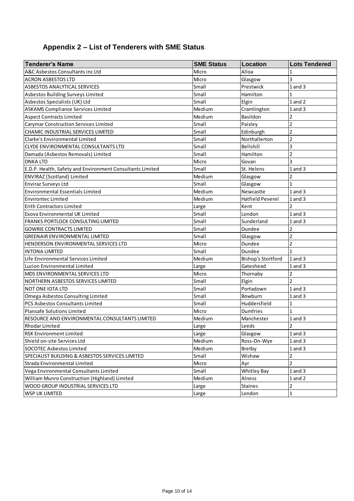# **Appendix 2 – List of Tenderers with SME Status**

| <b>Tenderer's Name</b>                                    | <b>SME Status</b> | Location                  | <b>Lots Tendered</b> |
|-----------------------------------------------------------|-------------------|---------------------------|----------------------|
| A&C Asbestos Consultants inc Ltd                          | Micro             | Alloa                     | 1                    |
| <b>ACRON ASBESTOS LTD</b>                                 | Micro             | Glasgow                   | 3                    |
| <b>ASBESTOS ANALYTICAL SERVICES</b>                       | Small             | Prestwick                 | $1$ and $3$          |
| Asbestos Building Surveys Limited                         | Small             | Hamilton                  | 1                    |
| Asbestos Specialists (UK) Ltd                             | Small             | Elgin                     | 1 and 2              |
| <b>ASKAMS Compliance Services Limited</b>                 | Medium            | Cramlington               | $1$ and $3$          |
| <b>Aspect Contracts Limited</b>                           | Medium            | Basildon                  | $\mathbf 2$          |
| <b>Carymar Construction Services Limited</b>              | Small             | Paisley                   | $\overline{2}$       |
| CHAMIC INDUSTRIAL SERVICES LIMITED                        | Small             | Edinburgh                 | $\overline{2}$       |
| Clarke's Environmental Limited                            | Small             | Northallerton             | $\overline{2}$       |
| CLYDE ENVIRONMENTAL CONSULTANTS LTD                       | Small             | Bellshill                 | 3                    |
| Damada (Asbestos Removals) Limited                        | Small             | Hamilton                  | $\overline{2}$       |
| <b>DNKA LTD</b>                                           | Micro             | Govan                     | 3                    |
| E.D.P. Health, Safety and Environment Consultants Limited | Small             | St. Helens                | $1$ and $3$          |
| <b>ENVIRAZ (Scotland) Limited</b>                         | Medium            | Glasgow                   | 2                    |
| Enviraz Surveys Ltd                                       | Small             | Glasgow                   | $\mathbf{1}$         |
| <b>Environmental Essentials Limited</b>                   | Medium            | Newcastle                 | $1$ and $3$          |
| <b>Environtec Limited</b>                                 | Medium            | <b>Hatfield Peverel</b>   | $1$ and $3$          |
| <b>Erith Contractors Limited</b>                          | Large             | Kent                      | $\overline{2}$       |
| Exova Environmental UK Limited                            | Small             | London                    | $1$ and $3$          |
| FRANKS PORTLOCK CONSULTING LIMITED                        | Small             | Sunderland                | $1$ and $3$          |
| <b>GOWRIE CONTRACTS LIMITED</b>                           | Small             | Dundee                    | $\overline{2}$       |
| GREENAIR ENVIRONMENTAL LIMITED                            | Small             | Glasgow                   | $\overline{2}$       |
| HENDERSON ENVIRONMENTAL SERVICES LTD                      | Micro             | Dundee                    | $\overline{2}$       |
| <b>INTONA LIMITED</b>                                     | Small             | Dundee                    | $\mathbf{1}$         |
| Life Environmental Services Limited                       | Medium            | <b>Bishop's Stortford</b> | $1$ and $3$          |
| Lucion Environmental Limited                              | Large             | Gateshead                 | $1$ and $3$          |
| MDS ENVIRONMENTAL SERVICES LTD                            | Micro             | Thornaby                  | $\mathbf 2$          |
| NORTHERN ASBESTOS SERVICES LIMITED                        | Small             | Elgin                     | $\overline{2}$       |
| NOT ONE IOTA LTD                                          | Small             | Portadown                 | $1$ and $3$          |
| Omega Asbestos Consulting Limited                         | Small             | Bowburn                   | $1$ and $3$          |
| PCS Asbestos Consultants Limited                          | Small             | Huddersfield              | 1                    |
| Plansafe Solutions Limited                                | Micro             | <b>Dumfries</b>           | $\mathbf{1}$         |
| RESOURCE AND ENVIRONMENTAL CONSULTANTS LIMITED            | Medium            | Manchester                | $1$ and $3$          |
| Rhodar Limited                                            | Large             | Leeds                     | $\mathbf{z}$         |
| <b>RSK Environment Limited</b>                            | Large             | Glasgow                   | 1 and 3              |
| Shield on-site Services Ltd                               | Medium            | Ross-On-Wye               | $1$ and $3$          |
| SOCOTEC Asbestos Limited                                  | Medium            | Bretby                    | 1 and 3              |
| SPECIALIST BUILDING & ASBESTOS SERVICES LIMITED           | Small             | Wishaw                    | $\overline{2}$       |
| Strada Environmental Limited                              | Micro             | Ayr                       | $\overline{2}$       |
| Vega Environmental Consultants Limited                    | Small             | <b>Whitley Bay</b>        | $1$ and $3$          |
| William Munro Construction (Highland) Limited             | Medium            | Alness                    | 1 and 2              |
| WOOD GROUP INDUSTRIAL SERVICES LTD                        | Large             | <b>Staines</b>            | $\overline{2}$       |
| <b>WSP UK LIMITED</b>                                     | Large             | London                    | $\mathbf{1}$         |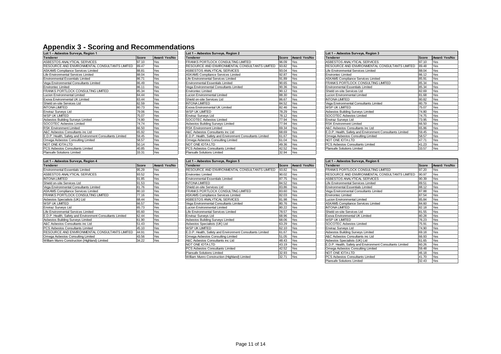# **Appendix 3 - Scoring and Recommendations**

| Lot 1 - Asbestos Surveys, Region 1                        |              |               |
|-----------------------------------------------------------|--------------|---------------|
| Tenderer                                                  | <b>Score</b> | Award: Yes/No |
| ASBESTOS ANALYTICAL SERVICES                              | 97.10        | Yes           |
| RESOURCE AND ENVIRONMENTAL CONSULTANTS LIMITED            | 89.47        | Yes           |
| ASKAMS Compliance Services Limited                        | 88.81        | Yes           |
| Life Environmental Services Limited                       | 88.04        | Yes           |
| <b>Environmental Essentials Limited</b>                   | 86.71        | Yes           |
| Vega Environmental Consultants Limited                    | 86.49        | Yes           |
| <b>Environtec Limited</b>                                 | 86.11        | Yes           |
| <b>FRANKS PORTLOCK CONSULTING LIMITED</b>                 | 85.34        | Yes           |
| Lucion Environmental Limited                              | 84.44        | Yes           |
| Exova Environmental UK Limited                            | 83.44        | Yes           |
| Shield on-site Services Ltd                               | 82.59        | Yes           |
| <b>INTONA LIMITED</b>                                     | 80.73        | Yes           |
| <b>Enviraz Survevs Ltd</b>                                | 79.06        | Yes           |
| <b>WSP UK LIMITED</b>                                     | 75.07        | Yes           |
| Asbestos Building Surveys Limited                         | 74.80        | Yes           |
| SOCOTEC Asbestos Limited                                  | 74.74        | Yes           |
| <b>RSK Environment Limited</b>                            | 66.50        | Yes           |
| A&C Asbestos Consultants inc Ltd                          | 65.92        | Yes           |
| E.D.P. Health, Safety and Environment Consultants Limited | 59.45        | Yes           |
| Omega Asbestos Consulting Limited                         | 58.57        | Yes           |
| NOT ONE IOTA LTD                                          | 50.14        | Yes           |
| PCS Asbestos Consultants Limited                          | 40.85        | Yes           |
| <b>Plannato Colutiona Limited</b>                         | 22.24        | $V_{\Omega}$  |

| Lot 1 - Asbestos Surveys, Region 4                        |              |               |
|-----------------------------------------------------------|--------------|---------------|
| <b>Tenderer</b>                                           | <b>Score</b> | Award: Yes/No |
| <b>Environmental Essentials Limited</b>                   | 95.29        | Yes           |
| ASBESTOS ANALYTICAL SERVICES                              | 93.52        | Yes           |
| <b>INTONA LIMITED</b>                                     | 91.85        | Yes           |
| Shield on-site Services Ltd                               | 91.53        | Yes           |
| Vega Environmental Consultants Limited                    | 81.76        | Yes           |
| <b>ASKAMS Compliance Services Limited</b>                 | 80.10        | Yes           |
| FRANKS PORTLOCK CONSULTING LIMITED                        | 77.16        | Yes           |
| Asbestos Specialists (UK) Ltd                             | 68.44        | Yes           |
| <b>WSP UK LIMITED</b>                                     | 66.57        | Yes           |
| <b>Enviraz Surveys Ltd</b>                                | 65.73        | Yes           |
| Life Environmental Services Limited                       | 65.60        | Yes           |
| E.D.P. Health, Safety and Environment Consultants Limited | 62.44        | Yes           |
| Asbestos Building Surveys Limited                         | 61.90        | Yes           |
| A&C Asbestos Consultants inc Ltd                          | 51.43        | Yes           |
| PCS Asbestos Consultants Limited                          | 45.10        | Yes           |
| RESOURCE AND ENVIRONMENTAL CONSULTANTS LIMITED            | 44.91        | Yes           |
| Omega Asbestos Consulting Limited                         | 43.56        | Yes           |
| William Munro Construction (Highland) Limited             | 34.22        | Yes           |

| <b>Contract Contract Contract Contract</b>                |              |               |                                                           |              |               |                                                           |              |     |  |
|-----------------------------------------------------------|--------------|---------------|-----------------------------------------------------------|--------------|---------------|-----------------------------------------------------------|--------------|-----|--|
| Lot 1 - Asbestos Surveys, Region 1                        |              |               | Lot 1 - Asbestos Surveys, Region 2                        |              |               | Lot 1 - Asbestos Surveys, Region 3                        |              |     |  |
| Tenderer                                                  | <b>Score</b> | Award: Yes/No | <b>Tenderer</b>                                           | <b>Score</b> | Award: Yes/No | <b>Tenderer</b>                                           | <b>Score</b> | Awa |  |
| ASBESTOS ANALYTICAL SERVICES                              | 97.10        | Yes           | <b>FRANKS PORTLOCK CONSULTING LIMITED</b>                 | 96.09        | Yes           | ASBESTOS ANALYTICAL SERVICES                              | 97.10        | Yes |  |
| RESOURCE AND ENVIRONMENTAL CONSULTANTS LIMITED            | 89.47        | Yes           | RESOURCE AND ENVIRONMENTAL CONSULTANTS LIMITED            | 93.82        | Yes           | RESOURCE AND ENVIRONMENTAL CONSULTANTS LIMITED            | 89.48        | Yes |  |
| <b>ASKAMS Compliance Services Limited</b>                 | 88.81        | Yes           | ASBESTOS ANALYTICAL SERVICES                              | 93.04        | Yes           | Life Environmental Services Limited                       | 88.04        | Yes |  |
| Life Environmental Services Limited                       | 88.04        | Yes           | <b>ASKAMS Compliance Services Limited</b>                 | 92.87        | Yes           | Environtec Limited                                        | 86.12        | Yes |  |
| <b>Environmental Essentials Limited</b>                   | 86.71        | Yes           | Life Environmental Services Limited                       | 91.89        | Yes           | ASKAMS Compliance Services Limited                        | 85.91        | Yes |  |
| Vega Environmental Consultants Limited                    | 86.49        | Yes           | <b>Environmental Essentials Limited</b>                   | 90.65        | Yes           | FRANKS PORTLOCK CONSULTING LIMITED                        | 85.34        | Yes |  |
| <b>Environtec Limited</b>                                 | 86.11        | Yes           | Vega Environmental Consultants Limited                    | 90.36        | Yes           | Environmental Essentials Limited                          | 85.34        | Yes |  |
| FRANKS PORTLOCK CONSULTING LIMITED                        | 85.34        | Yes           | <b>Environtec Limited</b>                                 | 90.12        | Yes           | <b>Shield on-site Services Ltd</b>                        | 82.69        | Yes |  |
| Lucion Environmental Limited                              | 84.44        | Yes           | Lucion Environmental Limited                              | 88.30        | Yes           | Lucion Environmental Limited                              | 81.68        | Yes |  |
| Exova Environmental UK Limited                            | 83.44        | Yes           | Shield on-site Services Ltd                               | 86.67        | Yes           | <b>INTONA LIMITED</b>                                     | 80.82        | Yes |  |
| Shield on-site Services Ltd                               | 82.59        | Yes           | <b>INTONA LIMITED</b>                                     | 84.52        | Yes           | Vega Environmental Consultants Limited                    | 80.79        | Yes |  |
| <b>INTONA LIMITED</b>                                     | 80.73        | Yes           | Exova Environmental UK Limited                            | 82.46        | Yes           | <b>WSP UK LIMITED</b>                                     | 75.07        | Yes |  |
| <b>Enviraz Survevs Ltd</b>                                | 79.06        | Yes           | WSP UK LIMITED                                            | 78.29        | Yes           | Asbestos Building Surveys Limited                         | 74.80        | Yes |  |
| WSP UK LIMITED                                            | 75.07        | Yes           | Enviraz Surveys Ltd                                       | 78.12        | Yes           | SOCOTEC Asbestos Limited                                  | 74.75        | Yes |  |
| Asbestos Building Surveys Limited                         | 74.80        | Yes           | SOCOTEC Asbestos Limited                                  | 77.94        | Yes           | Enviraz Survevs Ltd                                       | 73.95        | Yes |  |
| SOCOTEC Asbestos Limited                                  | 74.74        | Yes           | Asbestos Building Surveys Limited                         | 77.94        | Yes           | <b>RSK Environment Limited</b>                            | 66.50        | Yes |  |
| <b>RSK Environment Limited</b>                            | 66.50        | Yes           | <b>RSK Environment Limited</b>                            | 69.34        | Yes           | A&C Asbestos Consultants inc Ltd                          | 65.86        | Yes |  |
| A&C Asbestos Consultants inc Ltd                          | 65.92        | Yes           | A&C Asbestos Consultants inc Ltd                          | 68.69        | Yes           | E.D.P. Health, Safety and Environment Consultants Limited | 59.45        | Yes |  |
| E.D.P. Health, Safety and Environment Consultants Limited | 59.45        | Yes           | E.D.P. Health, Safety and Environment Consultants Limited | 61.67        | Yes           | Omega Asbestos Consulting Limited                         | 58.57        | Yes |  |
| Omega Asbestos Consulting Limited                         | 58.57        | Yes           | Omega Asbestos Consulting Limited                         | 61.04        | Yes           | NOT ONE IOTA LTD                                          | 47.71        | Yes |  |
| NOT ONE IOTA LTD                                          | 50.14        | Yes           | NOT ONE IOTA LTD                                          | 49.36        | Yes           | PCS Asbestos Consultants Limited                          | 41.23        | Yes |  |
| PCS Asbestos Consultants Limited                          | 40.85        | Yes           | PCS Asbestos Consultants Limited                          | 42.52        | Yes           | Plansafe Solutions Limited                                | 33.57        | Yes |  |
| Plansafe Solutions Limited                                | 33.31        | Yes           | Plansafe Solutions Limited                                | 32.94        | Yes           |                                                           |              |     |  |
|                                                           |              |               |                                                           |              |               |                                                           |              |     |  |

| Lot 1 - Asbestos Surveys, Region 4                        |       |               | Lot 1 - Asbestos Surveys, Region 5                        |              |               | Lot 1 - Asbestos Surveys, Region 6                        |              |     |  |
|-----------------------------------------------------------|-------|---------------|-----------------------------------------------------------|--------------|---------------|-----------------------------------------------------------|--------------|-----|--|
| Tenderer                                                  | Score | Award: Yes/No | <b>Tenderer</b>                                           | <b>Score</b> | Award: Yes/No | <b>Tenderer</b>                                           | <b>Score</b> | Awa |  |
| <b>Environmental Essentials Limited</b>                   | 95.29 | Yes           | RESOURCE AND ENVIRONMENTAL CONSULTANTS LIMITED            | 93.82        | Yes           | FRANKS PORTLOCK CONSULTING LIMITED                        | 97.20        | Yes |  |
| ASBESTOS ANALYTICAL SERVICES                              | 93.52 | Yes           | <b>Environtec Limited</b>                                 | 90.02        | Yes           | RESOURCE AND ENVIRONMENTAL CONSULTANTS LIMITED            | 90.97        | Yes |  |
| <b>INTONA LIMITED</b>                                     | 91.85 | Yes           | <b>Environmental Essentials Limited</b>                   | 87.75        | Yes           | ASBESTOS ANALYTICAL SERVICES                              | 90.39        | Yes |  |
| Shield on-site Services Ltd                               | 91.53 | Yes           | <b>INTONA LIMITED</b>                                     | 84.52        | Yes           | Life Environmental Services Limited                       | 89.51        | Yes |  |
| Vega Environmental Consultants Limited                    | 81.76 | Yes           | Shield on-site Services Ltd                               | 83.86        | Yes           | Environmental Essentials Limited                          | 88.12        | Yes |  |
| <b>ASKAMS Compliance Services Limited</b>                 | 80.10 | Yes           | FRANKS PORTLOCK CONSULTING LIMITED                        | 83.60        | Yes           | Vega Environmental Consultants Limited                    | 87.88        | Yes |  |
| FRANKS PORTLOCK CONSULTING LIMITED                        | 77.16 | Yes           | <b>ASKAMS Compliance Services Limited</b>                 | 82.03        | Yes           | Environtec Limited                                        | 87.54        | Yes |  |
| Asbestos Specialists (UK) Ltd                             | 68.44 | Yes           | ASBESTOS ANALYTICAL SERVICES                              | 81.98        | Yes           | Lucion Environmental Limited                              | 85.84        | Yes |  |
| WSP UK LIMITED                                            | 66.57 | Yes           | Vega Environmental Consultants Limited                    | 80.76        | Yes           | ASKAMS Compliance Services Limited                        | 84.60        | Yes |  |
| Enviraz Survevs Ltd                                       | 65.73 | Yes           | Lucion Environmental Limited                              | 80.22        | Yes           | <b>INTONA LIMITED</b>                                     | 82.18        | Yes |  |
| Life Environmental Services Limited                       | 65.60 | Yes           | Life Environmental Services Limited                       | 78.57        | Yes           | Shield on-site Services Ltd                               | 81.55        | Yes |  |
| E.D.P. Health. Safety and Environment Consultants Limited | 62.44 | Yes           | <b>Enviraz Survevs Ltd</b>                                | 68.96        | Yes           | Exova Environmental UK Limited                            | 80.28        | Yes |  |
| Asbestos Building Surveys Limited                         | 61.90 | Yes           | Asbestos Building Surveys Limited                         | 68.06        | Yes           | IWSP UK LIMITED                                           | 76.23        | Yes |  |
| A&C Asbestos Consultants inc Ltd                          | 51.43 | Yes           | Asbestos Specialists (UK) Ltd                             | 63.29        | Yes           | SOCOTEC Asbestos Limited                                  | 75.91        | Yes |  |
| PCS Asbestos Consultants Limited                          | 45.10 | Yes           | <b>WSP UK LIMITED</b>                                     | 62.10        | Yes           | Enviraz Surveys Ltd                                       | 74.90        | Yes |  |
| RESOURCE AND ENVIRONMENTAL CONSULTANTS LIMITED            | 44.91 | Yes           | E.D.P. Health, Safety and Environment Consultants Limited | 61.67        | Yes           | Asbestos Building Surveys Limited                         | 69.18        | Yes |  |
| Omega Asbestos Consulting Limited                         | 43.56 | Yes           | Omega Asbestos Consulting Limited                         | 51.05        | Yes           | A&C Asbestos Consultants inc Ltd                          | 66.93        | Yes |  |
| William Munro Construction (Highland) Limited             | 34.22 | Yes           | A&C Asbestos Consultants inc Ltd                          | 48.43        | Yes           | Asbestos Specialists (UK) Ltd                             | 61.65        | Yes |  |
|                                                           |       |               | NOT ONE IOTA LTD                                          | 43.19        | Yes           | E.D.P. Health, Safety and Environment Consultants Limited | 60.26        | Yes |  |
|                                                           |       |               | PCS Asbestos Consultants Limited                          | 42.52        | Yes           | Omega Asbestos Consulting Limited                         | 59.48        | Yes |  |
|                                                           |       |               | <b>Plansafe Solutions Limited</b>                         | 32.93        | Yes           | <b>NOT ONE IOTA LTD</b>                                   | 46.18        | Yes |  |
|                                                           |       |               | William Munro Construction (Highland) Limited             | 32.71        | <b>Yes</b>    | PCS Asbestos Consultants Limited                          | 41.70        | Yes |  |

| and the state of the state of                             |              |               |                                                           |              |               |                                                           |       |               |  |
|-----------------------------------------------------------|--------------|---------------|-----------------------------------------------------------|--------------|---------------|-----------------------------------------------------------|-------|---------------|--|
| Lot 1 - Asbestos Surveys, Region 1                        |              |               | Lot 1 - Asbestos Surveys, Region 2                        |              |               | Lot 1 - Asbestos Surveys, Region 3                        |       |               |  |
| Tenderer                                                  | <b>Score</b> | Award: Yes/No | <b>Tenderer</b>                                           | <b>Score</b> | Award: Yes/No | <b>Tenderer</b>                                           | Score | Award: Yes/No |  |
| ASBESTOS ANALYTICAL SERVICES                              | 97.10        | Yes           | FRANKS PORTLOCK CONSULTING LIMITED                        | 96.09        | Yes           | ASBESTOS ANALYTICAL SERVICES                              | 97.10 | Yes           |  |
| RESOURCE AND ENVIRONMENTAL CONSULTANTS LIMITED            | 89.47        | Yes           | RESOURCE AND ENVIRONMENTAL CONSULTANTS LIMITED            | 93.82        | Yes           | RESOURCE AND ENVIRONMENTAL CONSULTANTS LIMITED            | 89.48 | Yes           |  |
| <b>ASKAMS Compliance Services Limited</b>                 | 88.81        | Yes           | ASBESTOS ANALYTICAL SERVICES                              | 93.04        | Yes           | Life Environmental Services Limited                       | 88.04 | Yes           |  |
| Life Environmental Services Limited                       | 88.04        | Yes           | <b>ASKAMS Compliance Services Limited</b>                 | 92.87        | Yes           | Environtec Limited                                        | 86.12 | Yes           |  |
| Environmental Essentials Limited                          | 86.71        | Yes           | Life Environmental Services Limited                       | 91.89        | Yes           | <b>ASKAMS Compliance Services Limited</b>                 | 85.91 | Yes           |  |
| Vega Environmental Consultants Limited                    | 86.49        | Yes           | <b>Environmental Essentials Limited</b>                   | 90.65        | Yes           | FRANKS PORTLOCK CONSULTING LIMITED                        | 85.34 | Yes           |  |
| <b>Environtec Limited</b>                                 | 86.11        | Yes           | Vega Environmental Consultants Limited                    | 90.36        | Yes           | Environmental Essentials Limited                          | 85.34 | Yes           |  |
| FRANKS PORTLOCK CONSULTING LIMITED                        | 85.34        | Yes           | <b>Environtec Limited</b>                                 | 90.12        | Yes           | Shield on-site Services Ltd                               | 82.69 | Yes           |  |
| Lucion Environmental Limited                              | 84.44        | Yes           | Lucion Environmental Limited                              | 88.30        | Yes           | Lucion Environmental Limited                              | 81.68 | Yes           |  |
| Exova Environmental UK Limited                            | 83.44        | Yes           | Shield on-site Services Ltd                               | 86.67        | Yes           | <b>INTONA LIMITED</b>                                     | 80.82 | Yes           |  |
| Shield on-site Services Ltd                               | 82.59        | Yes           | <b>INTONA LIMITED</b>                                     | 84.52        | Yes           | Vega Environmental Consultants Limited                    | 80.79 | Yes           |  |
| <b>INTONA LIMITED</b>                                     | 80.73        | Yes           | Exova Environmental UK Limited                            | 82.46        | Yes           | <b>WSP UK LIMITED</b>                                     | 75.07 | Yes           |  |
| <b>Enviraz Surveys Ltd</b>                                | 79.06        | Yes           | WSP UK LIMITED                                            | 78.29        | Yes           | Asbestos Building Surveys Limited                         | 74.80 | Yes           |  |
| WSP UK LIMITED                                            | 75.07        | Yes           | Enviraz Surveys Ltd                                       | 78.12        | Yes           | SOCOTEC Asbestos Limited                                  | 74.75 | Yes           |  |
| Asbestos Building Surveys Limited                         | 74.80        | Yes           | SOCOTEC Asbestos Limited                                  | 77.94        | Yes           | Enviraz Survevs Ltd                                       | 73.95 |               |  |
| SOCOTEC Asbestos Limited                                  | 74.74        | Yes           | Asbestos Building Surveys Limited                         | 77.94        | Yes           | <b>RSK Environment Limited</b>                            | 66.50 | Yes           |  |
| <b>RSK Environment Limited</b>                            | 66.50        | Yes           | <b>RSK Environment Limited</b>                            | 69.34        | Yes           | A&C Asbestos Consultants inc Ltd                          | 65.86 | Yes           |  |
| A&C Asbestos Consultants inc Ltd                          | 65.92        | Yes           | A&C Asbestos Consultants inc Ltd                          | 68.69        | Yes           | E.D.P. Health, Safety and Environment Consultants Limited | 59.45 | Yes           |  |
| E.D.P. Health, Safety and Environment Consultants Limited | 59.45        | Yes           | E.D.P. Health, Safety and Environment Consultants Limited | 61.67        | Yes           | Omega Asbestos Consulting Limited                         | 58.57 | Yes           |  |
| Omega Asbestos Consulting Limited                         | 58.57        | Yes           | Omega Asbestos Consulting Limited                         | 61.04        | Yes           | NOT ONE IOTA LTD                                          | 47.71 | Yes           |  |
| NOT ONE IOTA LTD                                          | 50.14        | Yes           | NOT ONE IOTA LTD                                          | 49.36        | Yes           | PCS Asbestos Consultants Limited                          | 41.23 | Yes           |  |
| PCS Asbestos Consultants Limited                          | 40.85        | Yes           | PCS Asbestos Consultants Limited                          | 42.52        | Yes           | Plansafe Solutions Limited                                | 33.57 | Yes           |  |
|                                                           |              |               |                                                           |              |               |                                                           |       |               |  |

| Lot 1 - Asbestos Surveys, Region 4                        |       |               | Lot 1 - Asbestos Surveys, Region 5                        |       |               | Lot 1 - Asbestos Surveys, Region 6                        |       |               |  |
|-----------------------------------------------------------|-------|---------------|-----------------------------------------------------------|-------|---------------|-----------------------------------------------------------|-------|---------------|--|
| Tenderer                                                  | Score | Award: Yes/No | <b>Tenderer</b>                                           | Score | Award: Yes/No | <b>Tenderer</b>                                           | Score | Award: Yes/No |  |
| Environmental Essentials Limited                          | 95.29 | Yes           | RESOURCE AND ENVIRONMENTAL CONSULTANTS LIMITED            | 93.82 | Yes           | FRANKS PORTLOCK CONSULTING LIMITED                        | 97.20 | Yes           |  |
| ASBESTOS ANALYTICAL SERVICES                              | 93.52 | Yes           | <b>Environtec Limited</b>                                 | 90.02 | Yes           | RESOURCE AND ENVIRONMENTAL CONSULTANTS LIMITED            | 90.97 | Yes           |  |
| INTONA LIMITED                                            | 91.85 | Yes           | <b>Environmental Essentials Limited</b>                   | 87.75 | Yes           | ASBESTOS ANALYTICAL SERVICES                              | 90.39 | Yes           |  |
| Shield on-site Services Ltd                               | 91.53 | Yes           | <b>INTONA LIMITED</b>                                     | 84.52 | Yes           | Life Environmental Services Limited                       | 89.51 | Yes           |  |
| Vega Environmental Consultants Limited                    | 81.76 | Yes           | Shield on-site Services Ltd                               | 83.86 | Yes           | Environmental Essentials Limited                          | 88.12 | Yes           |  |
| <b>ASKAMS Compliance Services Limited</b>                 | 80.10 | Yes           | FRANKS PORTLOCK CONSULTING LIMITED                        | 83.60 | Yes           | Vega Environmental Consultants Limited                    | 87.88 | Yes           |  |
| FRANKS PORTLOCK CONSULTING LIMITED                        | 77.16 | Yes           | ASKAMS Compliance Services Limited                        | 82.03 | Yes           | Environtec Limited                                        | 87.54 | Yes           |  |
| Asbestos Specialists (UK) Ltd                             | 68.44 | Yes           | ASBESTOS ANALYTICAL SERVICES                              | 81.98 | Yes           | Lucion Environmental Limited                              | 85.84 | Yes           |  |
| WSP UK LIMITED                                            | 66.57 | Yes           | Vega Environmental Consultants Limited                    | 80.76 | Yes           | <b>ASKAMS Compliance Services Limited</b>                 | 84.60 | Yes           |  |
| <b>Enviraz Surveys Ltd</b>                                | 65.73 | Yes           | Lucion Environmental Limited                              | 80.22 | Yes           | <b>INTONA LIMITED</b>                                     | 82.18 | Yes           |  |
| Life Environmental Services Limited                       | 65.60 | Yes           | Life Environmental Services Limited                       | 78.57 | Yes           | Shield on-site Services Ltd                               | 81.55 | Yes           |  |
| E.D.P. Health. Safety and Environment Consultants Limited | 62.44 | Yes           | Enviraz Surveys Ltd                                       | 68.96 | Yes           | Exova Environmental UK Limited                            | 80.28 | Yes           |  |
| Asbestos Building Surveys Limited                         | 61.90 | Yes           | Asbestos Building Surveys Limited                         | 68.06 | Yes           | <b>WSP UK LIMITED</b>                                     | 76.23 | Yes           |  |
| A&C Asbestos Consultants inc Ltd                          | 51.43 | Yes           | Asbestos Specialists (UK) Ltd                             | 63.29 | Yes           | SOCOTEC Asbestos Limited                                  | 75.91 | Yes           |  |
| PCS Asbestos Consultants Limited                          | 45.10 | Yes           | WSP UK LIMITED                                            | 62.10 | Yes           | Enviraz Survevs Ltd                                       | 74.90 | Yes           |  |
| RESOURCE AND ENVIRONMENTAL CONSULTANTS LIMITED            | 44.91 | Yes           | E.D.P. Health, Safety and Environment Consultants Limited | 61.67 | Yes           | Asbestos Building Surveys Limited                         | 69.18 | Yes           |  |
| Omega Asbestos Consulting Limited                         | 43.56 | Yes           | Omega Asbestos Consulting Limited                         | 51.05 | Yes           | A&C Asbestos Consultants inc Ltd                          | 66.93 | Yes           |  |
| William Munro Construction (Highland) Limited             | 34.22 | Yes           | A&C Asbestos Consultants inc Ltd                          | 48.43 | Yes           | Asbestos Specialists (UK) Ltd                             | 61.65 | Yes           |  |
|                                                           |       |               | NOT ONE IOTA LTD                                          | 43.19 | Yes           | E.D.P. Health, Safety and Environment Consultants Limited | 60.26 | Yes           |  |
|                                                           |       |               | PCS Asbestos Consultants Limited                          | 42.52 | Yes           | Omega Asbestos Consulting Limited                         | 59.48 | Yes           |  |
|                                                           |       |               | Plansafe Solutions Limited                                | 32.93 | Yes           | NOT ONE IOTA LTD                                          | 46.18 | Yes           |  |
|                                                           |       |               | William Munro Construction (Highland) Limited             | 32.71 | Yes           | PCS Asbestos Consultants Limited                          | 41.70 | Yes           |  |
|                                                           |       |               |                                                           |       |               | Plansafe Solutions Limited                                | 32.43 | Yes           |  |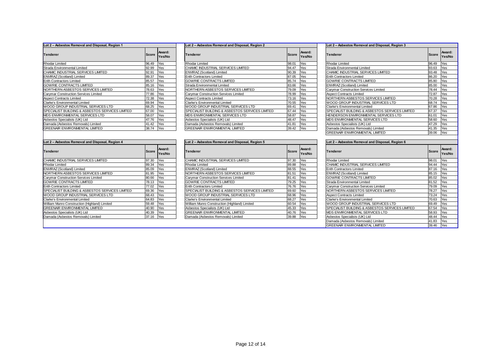#### **Lot 2 – Asbestos Removal and Disposal, Region 1 Lot 2 – Asbestos Removal and Disposal, Region 2 Lot 2 – Asbestos Removal and Disposal, Region 3**

| <b>Tenderer</b>                                 | Score | Award:<br>Yes/No |
|-------------------------------------------------|-------|------------------|
| <b>Rhodar Limited</b>                           | 96.49 | Yes              |
| Strada Environmental Limited                    | 92.99 | Yes              |
| CHAMIC INDUSTRIAL SERVICES LIMITED              | 92.91 | Yes              |
| ENVIRAZ (Scotland) Limited                      | 89.37 | Yes              |
| <b>Erith Contractors Limited</b>                | 85.57 | Yes              |
| <b>GOWRIE CONTRACTS LIMITED</b>                 | 85.16 | Yes              |
| NORTHERN ASBESTOS SERVICES LIMITED              | 78.63 | Yes              |
| Carymar Construction Services Limited           | 77.86 | Yes              |
| <b>Aspect Contracts Limited</b>                 | 72.38 | Yes              |
| <b>Clarke's Environmental Limited</b>           | 69.94 | Yes              |
| WOOD GROUP INDUSTRIAL SERVICES LTD              | 68.25 | Yes              |
| SPECIALIST BUILDING & ASBESTOS SERVICES LIMITED | 67.00 | Yes              |
| <b>MDS ENVIRONMENTAL SERVICES LTD</b>           | 58.07 | Yes              |
| Asbestos Specialists (UK) Ltd                   | 47.76 | Yes              |
| Damada (Asbestos Removals) Limited              | 41.42 | Yes              |
| <b>GREENAIR ENVIRONMENTAL LIMITED</b>           | 38.74 | Yes              |

| Lot 2 - Asbestos Removal and Disposal, Region 1 |       |                  | Lot 2 - Asbestos Removal and Disposal, Region 2 |              |                  | Lot 2 - Asbestos Removal and Disposal, Region 3 |              |                    |  |
|-------------------------------------------------|-------|------------------|-------------------------------------------------|--------------|------------------|-------------------------------------------------|--------------|--------------------|--|
| <b>Tenderer</b>                                 | Score | Award:<br>Yes/No | <b>Tenderer</b>                                 | <b>Score</b> | Award:<br>Yes/No | <b>Tenderer</b>                                 | <b>Score</b> | Awa<br><b>IYes</b> |  |
| Rhodar Limited                                  | 96.49 | Yes              | <b>Rhodar Limited</b>                           | 98.01        | Yes              | Rhodar Limited                                  | 96.49        | Yes                |  |
| Strada Environmental Limited                    | 92.99 | Yes              | CHAMIC INDUSTRIAL SERVICES LIMITED              | 94.47        | Yes              | Strada Environmental Limited                    | 93.63        | Yes                |  |
| CHAMIC INDUSTRIAL SERVICES LIMITED              | 92.91 | Yes              | ENVIRAZ (Scotland) Limited                      | 90.39        | Yes              | CHAMIC INDUSTRIAL SERVICES LIMITED              | 93.48        | Yes                |  |
| ENVIRAZ (Scotland) Limited                      | 89.37 | Yes              | <b>Erith Contractors Limited</b>                | 87.05        | Yes              | <b>Erith Contractors Limited</b>                | 86.20        | Yes                |  |
| <b>Erith Contractors Limited</b>                | 85.57 | Yes              | <b>GOWRIE CONTRACTS LIMITED</b>                 | 85.74        | Yes              | <b>GOWRIE CONTRACTS LIMITED</b>                 | 85.80        | Yes                |  |
| GOWRIE CONTRACTS LIMITED                        | 85.16 | Yes              | Strada Environmental Limited                    | 83.66        | Yes              | ENVIRAZ (Scotland) Limited                      | 85.00        | Yes                |  |
| NORTHERN ASBESTOS SERVICES LIMITED              | 78.63 | Yes              | NORTHERN ASBESTOS SERVICES LIMITED              | 79.09        | <b>Yes</b>       | Carymar Construction Services Limited           | 78.44        | Yes                |  |
| Carymar Construction Services Limited           | 77.86 | Yes              | Carymar Construction Services Limited           | 78.99        | Yes              | <b>Aspect Contracts Limited</b>                 | 72.87        | Yes                |  |
| <b>Aspect Contracts Limited</b>                 | 72.38 | Yes              | <b>Aspect Contracts Limited</b>                 | 73.16        | Yes              | NORTHERN ASBESTOS SERVICES LIMITED              | 70.28        | Yes                |  |
| Clarke's Environmental Limited                  | 69.94 | Yes              | Clarke's Environmental Limited                  | 70.55        | Yes              | WOOD GROUP INDUSTRIAL SERVICES LTD              | 68.74        | Yes                |  |
| WOOD GROUP INDUSTRIAL SERVICES LTD              | 68.25 | Yes              | WOOD GROUP INDUSTRIAL SERVICES LTD              | 69.41        | <b>Yes</b>       | Clarke's Environmental Limited                  | 67.86        | Yes                |  |
| SPECIALIST BUILDING & ASBESTOS SERVICES LIMITED | 67.00 | Yes              | SPECIALIST BUILDING & ASBESTOS SERVICES LIMITED | 67.44        | Yes              | SPECIALIST BUILDING & ASBESTOS SERVICES LIMITED | 67.37        | Yes                |  |
| MDS ENVIRONMENTAL SERVICES LTD                  | 58.07 | Yes              | <b>IMDS ENVIRONMENTAL SERVICES LTD</b>          | 58.87        | <b>Yes</b>       | HENDERSON ENVIRONMENTAL SERVICES LTD            | 61.01        | Yes                |  |
| Asbestos Specialists (UK) Ltd                   | 47.76 | Yes              | Asbestos Specialists (UK) Ltd                   | 48.47        | <b>Yes</b>       | <b>IMDS ENVIRONMENTAL SERVICES LTD</b>          | 58.60        | Yes                |  |
| Damada (Asbestos Removals) Limited              | 41.42 | Yes              | Damada (Asbestos Removals) Limited              | 41.81        | Yes              | Asbestos Specialists (UK) Ltd                   | 47.29        | Yes                |  |
| <b>GREENAIR ENVIRONMENTAL LIMITED</b>           | 38.74 | <b>IYes</b>      | <b>GREENAIR ENVIRONMENTAL LIMITED</b>           | 39.42        | <b>Yes</b>       | Damada (Asbestos Removals) Limited              | 41.35        | Yes                |  |
|                                                 |       |                  |                                                 |              |                  |                                                 |              |                    |  |

|                  | Lot 2 – Asbestos Removal and Disposal, Region 3 |       |                  |  |  |
|------------------|-------------------------------------------------|-------|------------------|--|--|
| Award:<br>Yes/No | Tenderer                                        | Score | Award:<br>Yes/No |  |  |
| Yes              | <b>Rhodar Limited</b>                           | 96.49 | Yes              |  |  |
| Yes              | Strada Environmental Limited                    | 93.63 | Yes              |  |  |
| Yes              | CHAMIC INDUSTRIAL SERVICES LIMITED              | 93.48 | Yes              |  |  |
| Yes              | <b>Erith Contractors Limited</b>                | 86.20 | Yes              |  |  |
| Yes              | <b>GOWRIE CONTRACTS LIMITED</b>                 | 85.80 | Yes              |  |  |
| Yes              | ENVIRAZ (Scotland) Limited                      | 85.00 | Yes              |  |  |
| Yes              | Carymar Construction Services Limited           | 78.44 | Yes              |  |  |
| Yes              | <b>Aspect Contracts Limited</b>                 | 72.87 | Yes              |  |  |
| Yes              | NORTHERN ASBESTOS SERVICES LIMITED              | 70.28 | Yes              |  |  |
| Yes              | WOOD GROUP INDUSTRIAL SERVICES LTD              | 68.74 | Yes              |  |  |
| Yes              | Clarke's Environmental Limited                  | 67.86 | Yes              |  |  |
| Yes              | SPECIALIST BUILDING & ASBESTOS SERVICES LIMITED | 67.37 | Yes              |  |  |
| Yes              | HENDERSON ENVIRONMENTAL SERVICES LTD            | 61.01 | Yes              |  |  |
| Yes              | MDS ENVIRONMENTAL SERVICES LTD                  | 58.60 | Yes              |  |  |
| Yes              | Asbestos Specialists (UK) Ltd                   | 47.29 | Yes              |  |  |
| Yes              | Damada (Asbestos Removals) Limited              | 41.35 | Yes              |  |  |
|                  | <b>GREENAIR ENVIRONMENTAL LIMITED</b>           | 39.06 | Yes              |  |  |

| Lot 2 - Asbestos Removal and Disposal, Region 4            |       |                  |  |  |  |  |  |
|------------------------------------------------------------|-------|------------------|--|--|--|--|--|
| Tenderer                                                   | Score | Award:<br>Yes/No |  |  |  |  |  |
| CHAMIC INDUSTRIAL SERVICES LIMITED                         | 97.30 | Yes              |  |  |  |  |  |
| <b>Rhodar Limited</b>                                      | 89.34 | Yes              |  |  |  |  |  |
| <b>ENVIRAZ (Scotland) Limited</b>                          | 85.09 | Yes              |  |  |  |  |  |
| NORTHERN ASBESTOS SERVICES LIMITED                         | 81.95 | Yes              |  |  |  |  |  |
| Carvmar Construction Services Limited                      | 80.66 | Yes              |  |  |  |  |  |
| <b>GOWRIE CONTRACTS LIMITED</b>                            | 78.13 | Yes              |  |  |  |  |  |
| <b>Erith Contractors Limited</b>                           | 77.02 | Yes              |  |  |  |  |  |
| <b>SPECIALIST BUILDING &amp; ASBESTOS SERVICES LIMITED</b> | 69.36 | Yes              |  |  |  |  |  |
| <b>WOOD GROUP INDUSTRIAL SERVICES LTD</b>                  | 68.43 | Yes              |  |  |  |  |  |
| Clarke's Environmental Limited                             | 64.83 | Yes              |  |  |  |  |  |
| William Munro Construction (Highland) Limited              | 59.48 | <b>Yes</b>       |  |  |  |  |  |
| <b>GREENAIR ENVIRONMENTAL LIMITED</b>                      | 40.90 | Yes              |  |  |  |  |  |
| Asbestos Specialists (UK) Ltd                              | 40.39 | Yes              |  |  |  |  |  |
| Damada (Asbestos Removals) Limited                         | 37.16 | Yes              |  |  |  |  |  |

| Lot 2 - Asbestos Removal and Disposal, Region 4 |           |                 | Lot 2 - Asbestos Removal and Disposal, Region 5             |                  |                 | Lot 2 - Asbestos Removal and Disposal, Region 6             |                           |     |  |
|-------------------------------------------------|-----------|-----------------|-------------------------------------------------------------|------------------|-----------------|-------------------------------------------------------------|---------------------------|-----|--|
| Award:<br><b>Tenderer</b><br>Score Yes/No       |           | <b>Tenderer</b> | Score                                                       | Award:<br>Yes/No | <b>Tenderer</b> | Score                                                       | <b>Awa</b><br><b>IYes</b> |     |  |
| CHAMIC INDUSTRIAL SERVICES LIMITED              | 97.30     | Yes             | CHAMIC INDUSTRIAL SERVICES LIMITED                          | 97.30            | Yes             | <b>Rhodar Limited</b>                                       | 98.01                     | Yes |  |
| Rhodar Limited                                  | 89.34     | Yes             | <b>Rhodar Limited</b>                                       | 89.88            | Yes             | CHAMIC INDUSTRIAL SERVICES LIMITED                          | 94.44                     | Yes |  |
| ENVIRAZ (Scotland) Limited                      | 85.09     | Yes             | <b>ENVIRAZ (Scotland) Limited</b>                           | 88.55            | Yes             | <b>Erith Contractors Limited</b>                            | 87.16                     | Yes |  |
| NORTHERN ASBESTOS SERVICES LIMITED              | 81.95     | Yes             | INORTHERN ASBESTOS SERVICES LIMITED                         | 81.51            | <b>IYes</b>     | <b>ENVIRAZ (Scotland) Limited</b>                           | 85.15                     | Yes |  |
| Carymar Construction Services Limited           | 80.66     | Yes             | Carymar Construction Services Limited                       | 81.41            | Yes             | <b>GOWRIE CONTRACTS LIMITED</b>                             | 85.02                     | Yes |  |
| GOWRIE CONTRACTS LIMITED                        | 78.13     | Yes             | <b>GOWRIE CONTRACTS LIMITED</b>                             | 79.25            | <b>Yes</b>      | Strada Environmental Limited                                | 81.52                     | Yes |  |
| <b>Erith Contractors Limited</b>                | 77.02 Yes |                 | <b>Erith Contractors Limited</b>                            | 76.76 Yes        |                 | Carvmar Construction Services Limited                       | 79.09 Yes                 |     |  |
| SPECIALIST BUILDING & ASBESTOS SERVICES LIMITED | 69.36     | Yes             | <b>ISPECIALIST BUILDING &amp; ASBESTOS SERVICES LIMITED</b> | 69.60            | <b>Yes</b>      | NORTHERN ASBESTOS SERVICES LIMITED                          | 78.27                     | Yes |  |
| WOOD GROUP INDUSTRIAL SERVICES LTD              | 68.43     | Yes             | <b>WOOD GROUP INDUSTRIAL SERVICES LTD</b>                   | 68.96            | <b>Yes</b>      | <b>Aspect Contracts Limited</b>                             | 73.24                     | Yes |  |
| Clarke's Environmental Limited                  | 64.83     | Yes             | Clarke's Environmental Limited                              | 68.27            | <b>Yes</b>      | Clarke's Environmental Limited                              | 70.63                     | Yes |  |
| William Munro Construction (Highland) Limited   | 59.48     | Yes             | William Munro Construction (Highland) Limited               | 60.54            | Yes             | WOOD GROUP INDUSTRIAL SERVICES LTD                          | 69.49                     | Yes |  |
| <b>GREENAIR ENVIRONMENTAL LIMITED</b>           | 40.90     | Yes             | Asbestos Specialists (UK) Ltd                               | 45.33            | Yes             | <b>ISPECIALIST BUILDING &amp; ASBESTOS SERVICES LIMITED</b> | 67.54                     | Yes |  |
| Asbestos Specialists (UK) Ltd                   | 40.39     | Yes             | <b>GREENAIR ENVIRONMENTAL LIMITED</b>                       | 40.76            | <b>Yes</b>      | MDS ENVIRONMENTAL SERVICES LTD                              | 58.93                     | Yes |  |
| Damada (Asbestos Removals) Limited              | 37.16     | Yes             | Damada (Asbestos Removals) Limited                          | 39.88            | <b>Yes</b>      | Asbestos Specialists (UK) Ltd                               | 48.44 Yes                 |     |  |

|                  | Lot 2 - Asbestos Removal and Disposal, Region 6 |       |                  |  |  |  |  |  |  |  |
|------------------|-------------------------------------------------|-------|------------------|--|--|--|--|--|--|--|
| Award:<br>Yes/No | <b>Tenderer</b>                                 | Score | Award:<br>Yes/No |  |  |  |  |  |  |  |
| Yes              | <b>Rhodar Limited</b>                           | 98.01 | Yes              |  |  |  |  |  |  |  |
| Yes              | CHAMIC INDUSTRIAL SERVICES LIMITED              | 94.44 | Yes              |  |  |  |  |  |  |  |
| Yes              | Erith Contractors Limited                       | 87.16 | Yes              |  |  |  |  |  |  |  |
| Yes              | ENVIRAZ (Scotland) Limited                      | 85.15 | Yes              |  |  |  |  |  |  |  |
| Yes              | GOWRIE CONTRACTS LIMITED                        | 85.02 | Yes              |  |  |  |  |  |  |  |
| Yes              | Strada Environmental Limited                    | 81.52 | Yes              |  |  |  |  |  |  |  |
| Yes              | Carvmar Construction Services Limited           | 79.09 | Yes              |  |  |  |  |  |  |  |
| Yes              | NORTHERN ASBESTOS SERVICES LIMITED              | 78.27 | Yes              |  |  |  |  |  |  |  |
| Yes              | <b>Aspect Contracts Limited</b>                 | 73.24 | Yes              |  |  |  |  |  |  |  |
| Yes              | Clarke's Environmental Limited                  | 70.63 | Yes              |  |  |  |  |  |  |  |
| Yes              | WOOD GROUP INDUSTRIAL SERVICES LTD              | 69.49 | Yes              |  |  |  |  |  |  |  |
| Yes              | SPECIALIST BUILDING & ASBESTOS SERVICES LIMITED | 67.54 | Yes              |  |  |  |  |  |  |  |
| Yes              | MDS ENVIRONMENTAL SERVICES LTD                  | 58.93 | Yes              |  |  |  |  |  |  |  |
| Yes              | Asbestos Specialists (UK) Ltd                   | 48.44 | Yes              |  |  |  |  |  |  |  |
|                  | Damada (Asbestos Removals) Limited              | 41.83 | Yes              |  |  |  |  |  |  |  |
|                  | <b>GREENAIR ENVIRONMENTAL LIMITED</b>           | 39.46 | Yes              |  |  |  |  |  |  |  |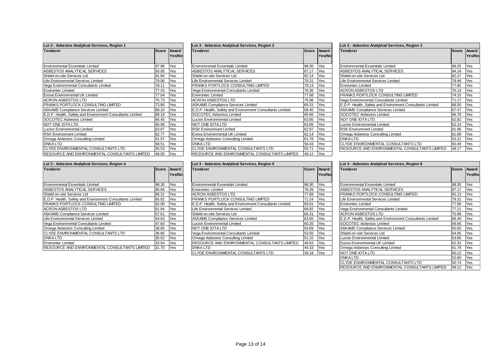| Lot 3 - Asbestos Analytical Services, Region 1            |              |        |  |  |  |  |  |
|-----------------------------------------------------------|--------------|--------|--|--|--|--|--|
| <b>Tenderer</b>                                           | <b>Score</b> | Award: |  |  |  |  |  |
|                                                           |              | Yes/No |  |  |  |  |  |
|                                                           |              |        |  |  |  |  |  |
| <b>Environmental Essentials Limited</b>                   | 97.96        | Yes    |  |  |  |  |  |
| ASBESTOS ANALYTICAL SERVICES                              | 93.95        | Yes    |  |  |  |  |  |
| Shield on-site Services Ltd                               | 81.84        | Yes    |  |  |  |  |  |
| Life Environmental Services Limited                       | 79.06        | Yes    |  |  |  |  |  |
| Vega Environmental Consultants Limited                    | 78.11        | Yes    |  |  |  |  |  |
| <b>Environtec Limited</b>                                 | 77.43        | Yes    |  |  |  |  |  |
| Exova Environmental UK Limited                            | 77.04        | Yes    |  |  |  |  |  |
| ACRON ASBESTOS LTD                                        | 75.73        | Yes    |  |  |  |  |  |
| <b>FRANKS PORTLOCK CONSULTING LIMITED</b>                 | 73.80        | Yes    |  |  |  |  |  |
| <b>ASKAMS Compliance Services Limited</b>                 | 69.10        | Yes    |  |  |  |  |  |
| E.D.P. Health, Safety and Environment Consultants Limited | 68.18        | Yes    |  |  |  |  |  |
| <b>SOCOTEC Asbestos Limited</b>                           | 66.45        | Yes    |  |  |  |  |  |
| NOT ONE IOTA LTD                                          | 65.90        | Yes    |  |  |  |  |  |
| Lucion Environmental Limited                              | 63.67        | Yes    |  |  |  |  |  |
| <b>RSK Environment Limited</b>                            | 62.77        | Yes    |  |  |  |  |  |
| Omega Asbestos Consulting Limited                         | 61.57        | Yes    |  |  |  |  |  |
| <b>DNKALTD</b>                                            | 58.51        | Yes    |  |  |  |  |  |
| CLYDE ENVIRONMENTAL CONSULTANTS LTD                       | 55.53        | Yes    |  |  |  |  |  |
| RESOURCE AND ENVIRONMENTAL CONSULTANTS LIMITED            | 49.00        | Yes    |  |  |  |  |  |

| Lot 3 - Asbestos Analytical Services, Region 1            |       |                  | Lot 3 - Asbestos Analytical Services, Region 2            |       |                  | Lot 3 - Asbestos Analytical Services, Region 3            |           |             |  |
|-----------------------------------------------------------|-------|------------------|-----------------------------------------------------------|-------|------------------|-----------------------------------------------------------|-----------|-------------|--|
| <b>Tenderer</b>                                           | Score | Award:<br>Yes/No | <b>Tenderer</b>                                           | Score | Award:<br>Yes/No | <b>Tenderer</b>                                           | Score Awa | <b>IYes</b> |  |
| <b>Environmental Essentials Limited</b>                   | 97.96 | Yes              | <b>Environmental Essentials Limited</b>                   | 98.30 | Yes              | <b>Environmental Essentials Limited</b>                   | 96.25     | Yes         |  |
| ASBESTOS ANALYTICAL SERVICES                              | 93.95 | Yes              | ASBESTOS ANALYTICAL SERVICES                              | 87.17 | Yes              | ASBESTOS ANALYTICAL SERVICES                              | 94.24     | Yes         |  |
| Shield on-site Services Ltd                               | 81.84 | Yes              | Shield on-site Services Ltd                               | 82.14 | Yes              | Shield on-site Services Ltd                               | 82.27     | Yes         |  |
| Life Environmental Services Limited                       | 79.06 | Yes              | Life Environmental Services Limited                       | 79.31 | Yes              | Life Environmental Services Limited                       | 79.46     | Yes         |  |
| Vega Environmental Consultants Limited                    | 78.11 | Yes              | FRANKS PORTLOCK CONSULTING LIMITED                        | 79.13 | Yes              | <b>Environtec Limited</b>                                 | 77.82     | Yes         |  |
| <b>Environtec Limited</b>                                 | 77.43 | Yes              | Vega Environmental Consultants Limited                    | 78.36 | Yes              | <b>ACRON ASBESTOS LTD</b>                                 | 76.14     | Yes         |  |
| Exova Environmental UK Limited                            | 77.04 | Yes              | <b>Environtec Limited</b>                                 | 77.68 | Yes              | <b>FRANKS PORTLOCK CONSULTING LIMITED</b>                 | 74.15     | Yes         |  |
| ACRON ASBESTOS LTD                                        | 75.73 | Yes              | <b>ACRON ASBESTOS LTD</b>                                 | 75.98 | Yes              | Vega Environmental Consultants Limited                    | 71.17     | Yes         |  |
| FRANKS PORTLOCK CONSULTING LIMITED                        | 73.80 | Yes              | <b>ASKAMS Compliance Services Limited</b>                 | 69.31 | Yes              | E.D.P. Health, Safety and Environment Consultants Limited | 68.50     | Yes         |  |
| <b>ASKAMS Compliance Services Limited</b>                 | 69.10 | Yes              | E.D.P. Health, Safety and Environment Consultants Limited | 68.40 | Yes              | <b>ASKAMS Compliance Services Limited</b>                 | 67.47     | Yes         |  |
| E.D.P. Health, Safety and Environment Consultants Limited | 68.18 | Yes              | <b>SOCOTEC Asbestos Limited</b>                           | 66.66 | Yes              | SOCOTEC Asbestos Limited                                  | 66.76     | Yes         |  |
| <b>SOCOTEC Asbestos Limited</b>                           | 66.45 | Yes              | Lucion Environmental Limited                              | 63.85 | Yes              | NOT ONE IOTA LTD                                          | 62.82     | Yes         |  |
| NOT ONE IOTA LTD                                          | 65.90 | Yes              | NOT ONE IOTA LTD                                          | 63.06 | Yes              | <b>Lucion Environmental Limited</b>                       | 62.24     | Yes         |  |
| Lucion Environmental Limited                              | 63.67 | Yes              | <b>RSK Environment Limited</b>                            | 62.97 | <b>Yes</b>       | <b>RSK Environment Limited</b>                            | 61.96     | Yes         |  |
| <b>RSK Environment Limited</b>                            | 62.77 | Yes              | <b>Exova Environmental UK Limited</b>                     | 62.14 | <b>Yes</b>       | Omega Asbestos Consulting Limited                         | 61.89     | Yes         |  |
| Omega Asbestos Consulting Limited                         | 61.57 | Yes              | Omega Asbestos Consulting Limited                         | 61.78 | Yes              | <b>DNKALTD</b>                                            | 53.21     | Yes         |  |
| <b>DNKALTD</b>                                            | 58.51 | Yes              | <b>DNKALTD</b>                                            | 58.43 | Yes              | CLYDE ENVIRONMENTAL CONSULTANTS LTD                       | 50.49     | Yes         |  |
| CLYDE ENVIRONMENTAL CONSULTANTS LTD                       | 55.53 | Yes              | CLYDE ENVIRONMENTAL CONSULTANTS LTD                       | 55.71 | <b>Yes</b>       | RESOURCE AND ENVIRONMENTAL CONSULTANTS LIMITED            | 49.17     | Yes         |  |
| RESOURCE AND ENVIRONMENTAL CONSULTANTS LIMITED            | 49.00 | Yes              | RESOURCE AND ENVIRONMENTAL CONSULTANTS LIMITED            | 49.12 | Yes              |                                                           |           |             |  |

| <b>Tenderer</b>                                           | <b>Score</b> | Award: |
|-----------------------------------------------------------|--------------|--------|
|                                                           |              | Yes/No |
|                                                           |              |        |
| Environmental Essentials Limited                          | 96.25        | Yes    |
| ASBESTOS ANALYTICAL SERVICES                              | 94.24        | Yes    |
| Shield on-site Services Ltd                               | 82.27        | Yes    |
| Life Environmental Services Limited                       | 79.46        | Yes    |
| <b>Environtec Limited</b>                                 | 77.82        | Yes    |
| ACRON ASBESTOS LTD                                        | 76.14        | Yes    |
| FRANKS PORTLOCK CONSULTING LIMITED                        | 74.15        | Yes    |
| Vega Environmental Consultants Limited                    | 71.17        | Yes    |
| E.D.P. Health, Safety and Environment Consultants Limited | 68.50        | Yes    |
| <b>ASKAMS Compliance Services Limited</b>                 | 67.47        | Yes    |
| SOCOTEC Asbestos Limited                                  | 66.76        | Yes    |
| NOT ONE IOTA LTD                                          | 62.82        | Yes    |
| <b>Lucion Environmental Limited</b>                       | 62.24        | Yes    |
| <b>RSK Environment Limited</b>                            | 61.96        | Yes    |
| Omega Asbestos Consulting Limited                         | 61.89        | Yes    |
| DNKA LTD                                                  | 53.21        | Yes    |
| CLYDE ENVIRONMENTAL CONSULTANTS LTD                       | 50.49        | Yes    |
| RESOURCE AND ENVIRONMENTAL CONSULTANTS LIMITED            | 49.17        | Yes    |

| Lot 3 - Asbestos Analytical Services, Region 4            |              |        |  |  |  |  |  |  |
|-----------------------------------------------------------|--------------|--------|--|--|--|--|--|--|
| <b>Tenderer</b>                                           | <b>Score</b> | Award: |  |  |  |  |  |  |
|                                                           |              | Yes/No |  |  |  |  |  |  |
|                                                           |              |        |  |  |  |  |  |  |
| <b>Environmental Essentials Limited</b>                   | 98.30        | Yes    |  |  |  |  |  |  |
| ASBESTOS ANALYTICAL SERVICES                              | 80.66        | Yes    |  |  |  |  |  |  |
| Shield on-site Services Ltd                               | 66.31        | Yes    |  |  |  |  |  |  |
| E.D.P. Health, Safety and Environment Consultants Limited | 65.82        | Yes    |  |  |  |  |  |  |
| <b>FRANKS PORTLOCK CONSULTING LIMITED</b>                 | 62.00        | Yes    |  |  |  |  |  |  |
| <b>ACRON ASBESTOS LTD</b>                                 | 61.94        | Yes    |  |  |  |  |  |  |
| <b>ASKAMS Compliance Services Limited</b>                 | 57.61        | Yes    |  |  |  |  |  |  |
| Life Environmental Services Limited                       | 54.63        | Yes    |  |  |  |  |  |  |
| Vega Environmental Consultants Limited                    | 47.60        | Yes    |  |  |  |  |  |  |
| Omega Asbestos Consulting Limited                         | 38.65        | Yes    |  |  |  |  |  |  |
| CLYDE ENVIRONMENTAL CONSULTANTS LTD                       | 36.85        | Yes    |  |  |  |  |  |  |
| <b>DNKALTD</b>                                            | 35.52        | Yes    |  |  |  |  |  |  |
| <b>Environtec Limited</b>                                 | 33.54        | Yes    |  |  |  |  |  |  |
| RESOURCE AND ENVIRONMENTAL CONSULTANTS LIMITED            | 31.70        | Yes    |  |  |  |  |  |  |

| Lot 3 - Asbestos Analytical Services, Region 4            |       |        | Lot 3 - Asbestos Analytical Services, Region 5            |                        |            | Lot 3 - Asbestos Analytical Services, Region 6            |           |            |  |
|-----------------------------------------------------------|-------|--------|-----------------------------------------------------------|------------------------|------------|-----------------------------------------------------------|-----------|------------|--|
| <b>Tenderer</b>                                           | Score | Award: | <b>Tenderer</b>                                           | Award:<br><b>Score</b> |            | <b>Tenderer</b>                                           | Score Awa |            |  |
|                                                           |       | Yes/No |                                                           |                        | Yes/No     |                                                           |           | IYes       |  |
| <b>Environmental Essentials Limited</b>                   | 98.30 | Yes    | <b>Environmental Essentials Limited</b>                   | 98.30                  | Yes        | Environmental Essentials Limited                          | 98.30     | Yes        |  |
| ASBESTOS ANALYTICAL SERVICES                              | 30.66 | Yes    | <b>Environtec Limited</b>                                 | 79.39                  | <b>Yes</b> | ASBESTOS ANALYTICAL SERVICES                              | 87.17     | Yes        |  |
| Shield on-site Services Ltd                               | 66.31 | Yes    | <b>ACRON ASBESTOS LTD</b>                                 | 77.68                  | Yes        | <b>FRANKS PORTLOCK CONSULTING LIMITED</b>                 | 82.13     | Yes        |  |
| E.D.P. Health. Safety and Environment Consultants Limited | 65.82 | Yes    | FRANKS PORTLOCK CONSULTING LIMITED                        | 71.24                  | Yes        | Life Environmental Services Limited                       | 79.31     | Yes        |  |
| FRANKS PORTLOCK CONSULTING LIMITED                        | 62.00 | Yes    | E.D.P. Health, Safety and Environment Consultants Limited | 69.81                  | Yes        | <b>Environtec Limited</b>                                 | 77.68     | Yes        |  |
| ACRON ASBESTOS LTD                                        | 61.94 | Yes    | Life Environmental Services Limited                       | 68.82                  | Yes        | Vega Environmental Consultants Limited                    | 77.21     | Yes        |  |
| <b>ASKAMS Compliance Services Limited</b>                 | 57.61 | Yes    | Shield on-site Services Ltd                               | 66.31                  | Yes        | <b>ACRON ASBESTOS LTD</b>                                 | 75.98     | Yes        |  |
| Life Environmental Services Limited                       | 54.63 | Yes    | <b>ASKAMS Compliance Services Limited</b>                 | 63.65                  | Yes        | E.D.P. Health, Safety and Environment Consultants Limited | 68.40     | Yes        |  |
| Vega Environmental Consultants Limited                    | 47.60 | Yes    | Lucion Environmental Limited                              | 60.20                  | Yes        | SOCOTEC Asbestos Limited                                  | 66.66     | Yes        |  |
| Omega Asbestos Consulting Limited                         | 38.65 | Yes    | NOT ONE IOTA LTD                                          | 54.69                  | Yes        | <b>ASKAMS Compliance Services Limited</b>                 | 65.60     | <b>Yes</b> |  |
| CLYDE ENVIRONMENTAL CONSULTANTS LTD                       | 36.85 | Yes    | Vega Environmental Consultants Limited                    | 53.50                  | Yes        | Shield on-site Services Ltd                               | 64.95     | Yes        |  |
| DNKA LTD                                                  | 35.52 | Yes    | Omega Asbestos Consulting Limited                         | 51.15                  | Yes        | <b>Lucion Environmental Limited</b>                       | 63.85     | <b>Yes</b> |  |
| <b>Environtec Limited</b>                                 | 33.54 | Yes    | RESOURCE AND ENVIRONMENTAL CONSULTANTS LIMITED            | 49.93                  | Yes        | Exova Environmental UK Limited                            | 62.32     | <b>Yes</b> |  |
| RESOURCE AND ENVIRONMENTAL CONSULTANTS LIMITED            | 31.70 | Yes    | DNKA LTD                                                  | 44.33                  | Yes        | Omega Asbestos Consulting Limited                         | 61.78     | <b>Yes</b> |  |
|                                                           |       |        | CLYDE ENVIRONMENTAL CONSULTANTS LTD                       | 39.18                  | Yes        | NOT ONE IOTA LTD                                          | 60.12 Yes |            |  |

| Lot 3 - Asbestos Analytical Services, Region 6            |              |                  |  |  |  |  |
|-----------------------------------------------------------|--------------|------------------|--|--|--|--|
| Tenderer                                                  | <b>Score</b> | Award:<br>Yes/No |  |  |  |  |
| <b>Environmental Essentials Limited</b>                   | 98.30        | Yes              |  |  |  |  |
| ASBESTOS ANALYTICAL SERVICES                              | 87.17        | Yes              |  |  |  |  |
| FRANKS PORTLOCK CONSULTING LIMITED                        | 82.13        | Yes              |  |  |  |  |
| Life Environmental Services Limited                       | 79.31        | Yes              |  |  |  |  |
| <b>Environtec Limited</b>                                 | 77.68        | Yes              |  |  |  |  |
| Vega Environmental Consultants Limited                    | 77.21        | Yes              |  |  |  |  |
| <b>ACRON ASBESTOS LTD</b>                                 | 75.98        | Yes              |  |  |  |  |
| E.D.P. Health, Safety and Environment Consultants Limited | 68.40        | Yes              |  |  |  |  |
| SOCOTEC Asbestos Limited                                  | 66.66        | Yes              |  |  |  |  |
| <b>ASKAMS Compliance Services Limited</b>                 | 65.60        | Yes              |  |  |  |  |
| Shield on-site Services Ltd                               | 64.95        | Yes              |  |  |  |  |
| Lucion Environmental Limited                              | 63.85        | Yes              |  |  |  |  |
| Exova Environmental UK Limited                            | 62.32        | Yes              |  |  |  |  |
| Omega Asbestos Consulting Limited                         | 61.78        | Yes              |  |  |  |  |
| NOT ONE IOTA LTD                                          | 60.12        | Yes              |  |  |  |  |
| <b>DNKALTD</b>                                            | 52.60        | Yes              |  |  |  |  |
| CLYDE ENVIRONMENTAL CONSULTANTS LTD                       | 50.74        | Yes              |  |  |  |  |
| RESOURCE AND ENVIRONMENTAL CONSULTANTS LIMITED            | 49.12        | Yes              |  |  |  |  |